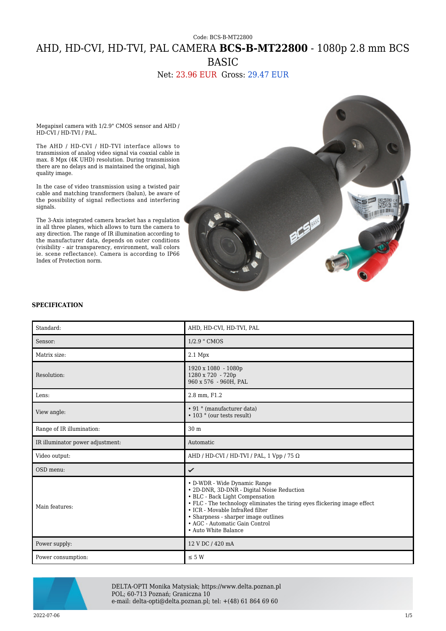# Code: BCS-B-MT22800 AHD, HD-CVI, HD-TVI, PAL CAMERA **BCS-B-MT22800** - 1080p 2.8 mm BCS BASIC

## Net: 23.96 EUR Gross: 29.47 EUR

Megapixel camera with 1/2.9" CMOS sensor and AHD / HD-CVI / HD-TVI / PAL.

The AHD / HD-CVI / HD-TVI interface allows to transmission of analog video signal via coaxial cable in max. 8 Mpx (4K UHD) resolution. During transmission there are no delays and is maintained the original, high quality image.

In the case of video transmission using a twisted pair cable and matching transformers (balun), be aware of the possibility of signal reflections and interfering signals.

The 3-Axis integrated camera bracket has a regulation in all three planes, which allows to turn the camera to any direction. The range of IR illumination according to the manufacturer data, depends on outer conditions (visibility - air transparency, environment, wall colors ie. scene reflectance). Camera is according to IP66 Index of Protection norm.



#### **SPECIFICATION**

| Standard:                        | AHD, HD-CVI, HD-TVI, PAL                                                                                                                                                                                                                                                                                                        |
|----------------------------------|---------------------------------------------------------------------------------------------------------------------------------------------------------------------------------------------------------------------------------------------------------------------------------------------------------------------------------|
| Sensor:                          | 1/2.9 " CMOS                                                                                                                                                                                                                                                                                                                    |
| Matrix size:                     | $2.1$ Mpx                                                                                                                                                                                                                                                                                                                       |
| Resolution:                      | 1920 x 1080 - 1080p<br>1280 x 720 - 720p<br>960 x 576 - 960H, PAL                                                                                                                                                                                                                                                               |
| Lens:                            | 2.8 mm, F1.2                                                                                                                                                                                                                                                                                                                    |
| View angle:                      | • 91 ° (manufacturer data)<br>• 103 ° (our tests result)                                                                                                                                                                                                                                                                        |
| Range of IR illumination:        | 30 <sub>m</sub>                                                                                                                                                                                                                                                                                                                 |
| IR illuminator power adjustment: | Automatic                                                                                                                                                                                                                                                                                                                       |
| Video output:                    | AHD / HD-CVI / HD-TVI / PAL, 1 Vpp / 75 $\Omega$                                                                                                                                                                                                                                                                                |
| OSD menu:                        | ✓                                                                                                                                                                                                                                                                                                                               |
| Main features:                   | • D-WDR - Wide Dynamic Range<br>• 2D-DNR, 3D-DNR - Digital Noise Reduction<br>• BLC - Back Light Compensation<br>• FLC - The technology eliminates the tiring eyes flickering image effect<br>• ICR - Movable InfraRed filter<br>• Sharpness - sharper image outlines<br>• AGC - Automatic Gain Control<br>• Auto White Balance |
| Power supply:                    | 12 V DC / 420 mA                                                                                                                                                                                                                                                                                                                |
| Power consumption:               | $\leq 5 W$                                                                                                                                                                                                                                                                                                                      |



DELTA-OPTI Monika Matysiak; https://www.delta.poznan.pl POL; 60-713 Poznań; Graniczna 10 e-mail: delta-opti@delta.poznan.pl; tel: +(48) 61 864 69 60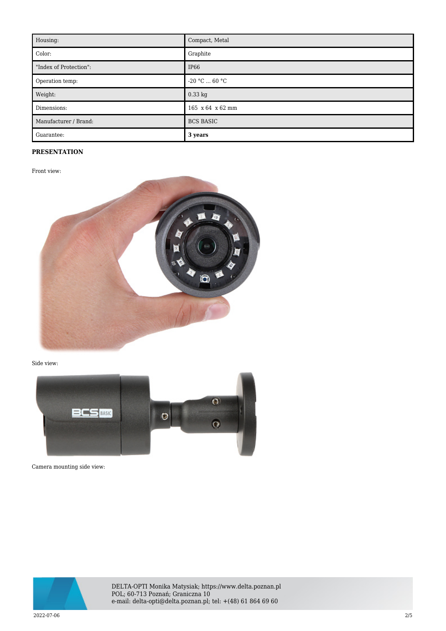| Housing:               | Compact, Metal   |
|------------------------|------------------|
| Color:                 | Graphite         |
| "Index of Protection": | <b>IP66</b>      |
| Operation temp:        | $-20 °C  60 °C$  |
| Weight:                | 0.33 kg          |
| Dimensions:            | 165 x 64 x 62 mm |
| Manufacturer / Brand:  | <b>BCS BASIC</b> |
| Guarantee:             | 3 years          |

### **PRESENTATION**

Front view:



Side view:



Camera mounting side view:



DELTA-OPTI Monika Matysiak; https://www.delta.poznan.pl POL; 60-713 Poznań; Graniczna 10 e-mail: delta-opti@delta.poznan.pl; tel: +(48) 61 864 69 60

2022-07-06 2/5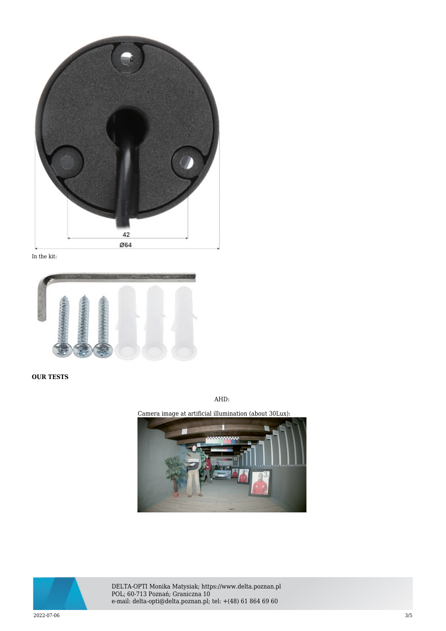

In the kit:



**OUR TESTS**

AHD: Camera image at artificial illumination (about 30Lux):



DELTA-OPTI Monika Matysiak; https://www.delta.poznan.pl POL; 60-713 Poznań; Graniczna 10 e-mail: delta-opti@delta.poznan.pl; tel: +(48) 61 864 69 60

2022-07-06 3/5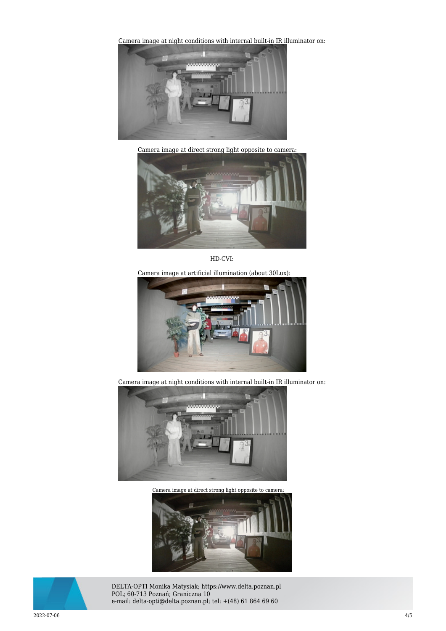[Camera image at night conditions with internal built-in IR il](https://sklep.delta.poznan.pl/obrazki2/bcs-b-mt22800_ahd_img11_d.jpg)luminator on:



Camera image at direct strong light opposite to camera:



HD-CVI:

Camera image at artificial illumination (about 30Lux):



Camera image at night conditions with internal built-in IR illuminator on:



Camera image at direct strong light opposite to camera:





DELTA-OPTI Monika Matysiak; https://www.delta.poznan.pl POL; 60-713 Poznań; Graniczna 10 e-mail: delta-opti@delta.poznan.pl; tel: +(48) 61 864 69 60

2022-07-06 4/5